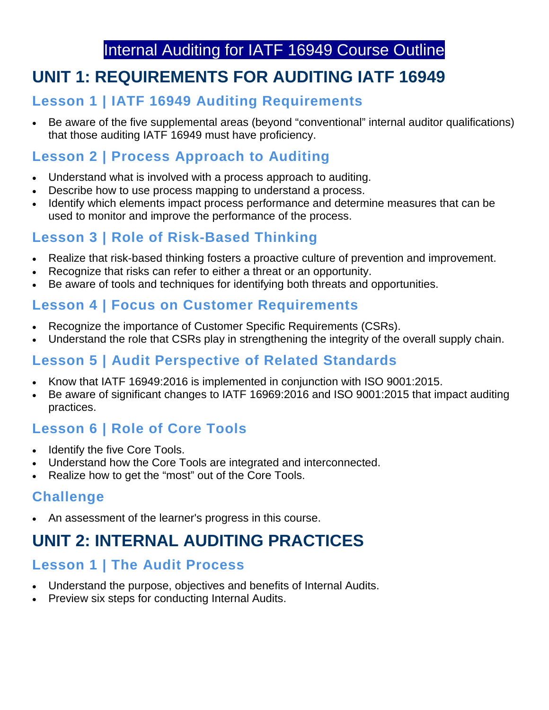## Internal Auditing for IATF 16949 Course Outline

# **UNIT 1: REQUIREMENTS FOR AUDITING IATF 16949**

## **Lesson 1 | IATF 16949 Auditing Requirements**

• Be aware of the five supplemental areas (beyond "conventional" internal auditor qualifications) that those auditing IATF 16949 must have proficiency.

## **Lesson 2 | Process Approach to Auditing**

- Understand what is involved with a process approach to auditing.
- Describe how to use process mapping to understand a process.
- Identify which elements impact process performance and determine measures that can be used to monitor and improve the performance of the process.

## **Lesson 3 | Role of Risk-Based Thinking**

- Realize that risk-based thinking fosters a proactive culture of prevention and improvement.
- Recognize that risks can refer to either a threat or an opportunity.
- Be aware of tools and techniques for identifying both threats and opportunities.

#### **Lesson 4 | Focus on Customer Requirements**

- Recognize the importance of Customer Specific Requirements (CSRs).
- Understand the role that CSRs play in strengthening the integrity of the overall supply chain.

## **Lesson 5 | Audit Perspective of Related Standards**

- Know that IATF 16949:2016 is implemented in conjunction with ISO 9001:2015.
- Be aware of significant changes to IATF 16969:2016 and ISO 9001:2015 that impact auditing practices.

## **Lesson 6 | Role of Core Tools**

- Identify the five Core Tools.
- Understand how the Core Tools are integrated and interconnected.
- Realize how to get the "most" out of the Core Tools.

## **Challenge**

• An assessment of the learner's progress in this course.

# **UNIT 2: INTERNAL AUDITING PRACTICES**

#### **Lesson 1 | The Audit Process**

- Understand the purpose, objectives and benefits of Internal Audits.
- Preview six steps for conducting Internal Audits.